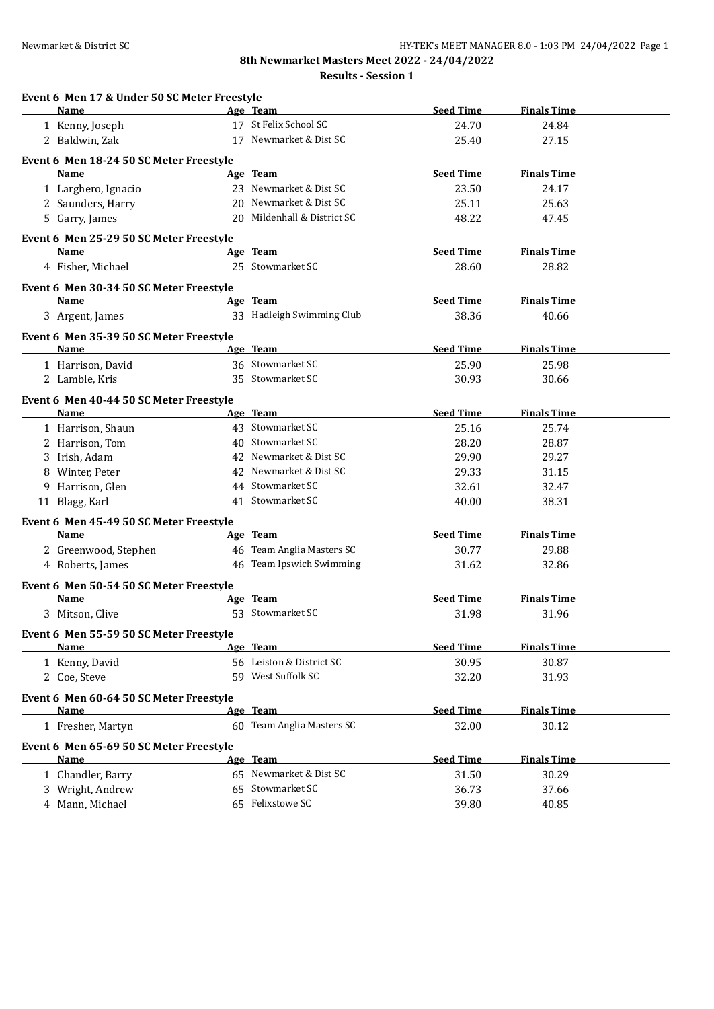**8th Newmarket Masters Meet 2022 - 24/04/2022 Results - Session 1**

| <b>Seed Time</b><br>Name<br>Age Team<br>17 St Felix School SC<br>1 Kenny, Joseph<br>24.70<br>17 Newmarket & Dist SC<br>2 Baldwin, Zak<br>25.40<br>Event 6 Men 18-24 50 SC Meter Freestyle<br>Age Team<br><b>Seed Time</b><br><b>Name</b><br>23 Newmarket & Dist SC<br>23.50<br>1 Larghero, Ignacio | <b>Finals Time</b><br>24.84<br>27.15<br><b>Finals Time</b><br>24.17<br>25.63<br>47.45<br><b>Finals Time</b> |
|----------------------------------------------------------------------------------------------------------------------------------------------------------------------------------------------------------------------------------------------------------------------------------------------------|-------------------------------------------------------------------------------------------------------------|
|                                                                                                                                                                                                                                                                                                    |                                                                                                             |
|                                                                                                                                                                                                                                                                                                    |                                                                                                             |
|                                                                                                                                                                                                                                                                                                    |                                                                                                             |
|                                                                                                                                                                                                                                                                                                    |                                                                                                             |
|                                                                                                                                                                                                                                                                                                    |                                                                                                             |
| 20 Newmarket & Dist SC<br>2 Saunders, Harry<br>25.11                                                                                                                                                                                                                                               |                                                                                                             |
| 20 Mildenhall & District SC<br>5 Garry, James<br>48.22                                                                                                                                                                                                                                             |                                                                                                             |
|                                                                                                                                                                                                                                                                                                    |                                                                                                             |
| Event 6 Men 25-29 50 SC Meter Freestyle<br><b>Seed Time</b><br><b>Name</b><br>Age Team                                                                                                                                                                                                             |                                                                                                             |
| 25 Stowmarket SC<br>28.60<br>4 Fisher, Michael                                                                                                                                                                                                                                                     | 28.82                                                                                                       |
|                                                                                                                                                                                                                                                                                                    |                                                                                                             |
| Event 6 Men 30-34 50 SC Meter Freestyle<br>Age Team<br><b>Seed Time</b><br>Name                                                                                                                                                                                                                    | <b>Finals Time</b>                                                                                          |
| 33 Hadleigh Swimming Club                                                                                                                                                                                                                                                                          |                                                                                                             |
| 38.36<br>3 Argent, James                                                                                                                                                                                                                                                                           | 40.66                                                                                                       |
| Event 6 Men 35-39 50 SC Meter Freestyle                                                                                                                                                                                                                                                            |                                                                                                             |
| Age Team<br><b>Seed Time</b><br>Name                                                                                                                                                                                                                                                               | <b>Finals Time</b>                                                                                          |
| 36 Stowmarket SC<br>1 Harrison, David<br>25.90                                                                                                                                                                                                                                                     | 25.98                                                                                                       |
| 35 Stowmarket SC<br>2 Lamble, Kris<br>30.93                                                                                                                                                                                                                                                        | 30.66                                                                                                       |
| Event 6 Men 40-44 50 SC Meter Freestyle                                                                                                                                                                                                                                                            |                                                                                                             |
| <b>Seed Time</b><br>Name<br>Age Team                                                                                                                                                                                                                                                               | <b>Finals Time</b>                                                                                          |
| 43 Stowmarket SC<br>1 Harrison, Shaun<br>25.16                                                                                                                                                                                                                                                     | 25.74                                                                                                       |
| 40 Stowmarket SC<br>2 Harrison, Tom<br>28.20                                                                                                                                                                                                                                                       | 28.87                                                                                                       |
| 42 Newmarket & Dist SC<br>3 Irish, Adam<br>29.90                                                                                                                                                                                                                                                   | 29.27                                                                                                       |
| 8 Winter, Peter<br>42 Newmarket & Dist SC<br>29.33                                                                                                                                                                                                                                                 | 31.15                                                                                                       |
| 44 Stowmarket SC<br>9 Harrison, Glen<br>32.61                                                                                                                                                                                                                                                      | 32.47                                                                                                       |
| 41 Stowmarket SC<br>11 Blagg, Karl<br>40.00                                                                                                                                                                                                                                                        | 38.31                                                                                                       |
| Event 6 Men 45-49 50 SC Meter Freestyle                                                                                                                                                                                                                                                            |                                                                                                             |
| Age Team<br><b>Seed Time</b><br>Name                                                                                                                                                                                                                                                               | <b>Finals Time</b>                                                                                          |
| 46 Team Anglia Masters SC<br>2 Greenwood, Stephen<br>30.77                                                                                                                                                                                                                                         | 29.88                                                                                                       |
| 46 Team Ipswich Swimming<br>4 Roberts, James<br>31.62                                                                                                                                                                                                                                              | 32.86                                                                                                       |
|                                                                                                                                                                                                                                                                                                    |                                                                                                             |
| Event 6 Men 50-54 50 SC Meter Freestyle                                                                                                                                                                                                                                                            |                                                                                                             |
| <b>Seed Time</b><br>Name<br>Age Team<br>53 Stowmarket SC<br>3 Mitson, Clive<br>31.98                                                                                                                                                                                                               | <b>Finals Time</b><br>31.96                                                                                 |
|                                                                                                                                                                                                                                                                                                    |                                                                                                             |
| Event 6 Men 55-59 50 SC Meter Freestyle                                                                                                                                                                                                                                                            |                                                                                                             |
| Age Team<br><b>Seed Time</b><br>Name                                                                                                                                                                                                                                                               | <b>Finals Time</b>                                                                                          |
| 56 Leiston & District SC<br>30.95<br>1 Kenny, David                                                                                                                                                                                                                                                | 30.87                                                                                                       |
| 59 West Suffolk SC<br>32.20<br>2 Coe, Steve                                                                                                                                                                                                                                                        | 31.93                                                                                                       |
| Event 6 Men 60-64 50 SC Meter Freestyle                                                                                                                                                                                                                                                            |                                                                                                             |
| <b>Seed Time</b><br>Name<br>Age Team                                                                                                                                                                                                                                                               | <b>Finals Time</b>                                                                                          |
| 60 Team Anglia Masters SC<br>32.00<br>1 Fresher, Martyn                                                                                                                                                                                                                                            | 30.12                                                                                                       |
| Event 6 Men 65-69 50 SC Meter Freestyle                                                                                                                                                                                                                                                            |                                                                                                             |
| <b>Seed Time</b><br>Age Team<br>Name                                                                                                                                                                                                                                                               | <b>Finals Time</b>                                                                                          |
| 65 Newmarket & Dist SC<br>1 Chandler, Barry<br>31.50                                                                                                                                                                                                                                               | 30.29                                                                                                       |
| 65 Stowmarket SC<br>3 Wright, Andrew<br>36.73                                                                                                                                                                                                                                                      | 37.66                                                                                                       |
| 65 Felixstowe SC<br>4 Mann, Michael<br>39.80                                                                                                                                                                                                                                                       | 40.85                                                                                                       |